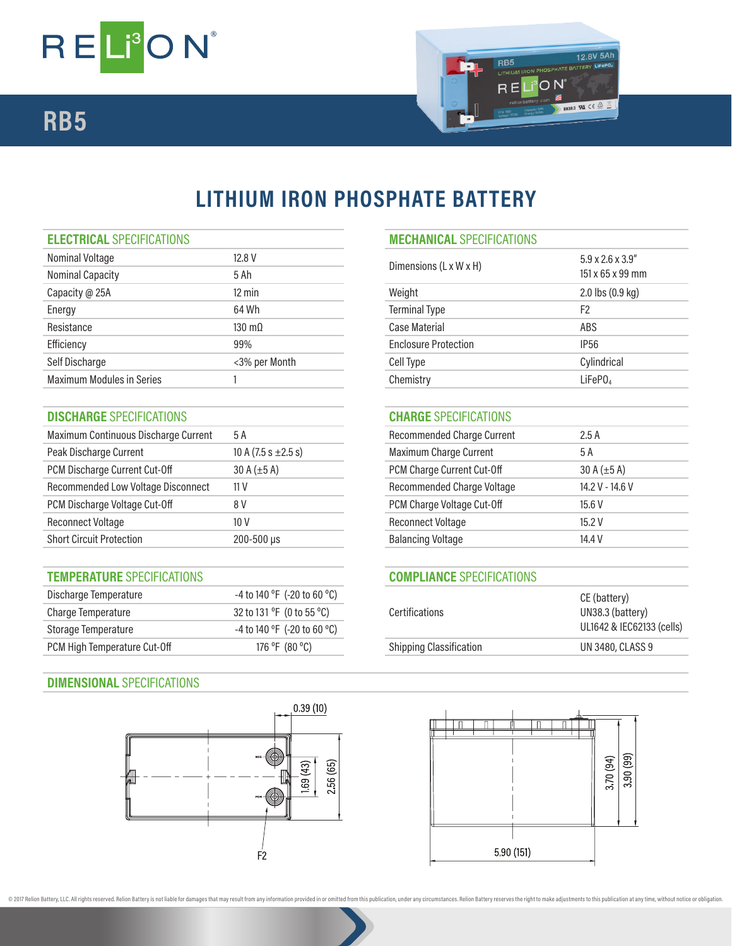

## **RB5**



## **LITHIUM IRON PHOSPHATE BATTERY**

| <b>ELECTRICAL SPECIFICATIONS</b> |  |  |
|----------------------------------|--|--|

| Nominal Voltage                  | 12.8 V                |                             | $5.9 \times 2.6 \times 3.9$ " |
|----------------------------------|-----------------------|-----------------------------|-------------------------------|
| <b>Nominal Capacity</b>          | 5 Ah                  | Dimensions (L x W x H)      | 151 x 65 x 99 mm              |
| Capacity @ 25A                   | 12 min                | Weight                      | 2.0 lbs (0.9 kg)              |
| Energy                           | 64 Wh                 | <b>Terminal Type</b>        | F <sub>2</sub>                |
| Resistance                       | $130 \text{ m}\Omega$ | <b>Case Material</b>        | ABS                           |
| Efficiency                       | 99%                   | <b>Enclosure Protection</b> | IP <sub>56</sub>              |
| Self Discharge                   | <3% per Month         | Cell Type                   | Cylindrical                   |
| <b>Maximum Modules in Series</b> |                       | Chemistry                   | LiFeP <sub>0</sub>            |
|                                  |                       |                             |                               |

## **DISCHARGE** SPECIFICATIONS **CHARGE** SPECIFICATIONS

| Maximum Continuous Discharge Current | 5 A                      | <b>Recommended Charge Current</b> | 2.5A             |
|--------------------------------------|--------------------------|-----------------------------------|------------------|
| Peak Discharge Current               | 10 A (7.5 s $\pm$ 2.5 s) | Maximum Charge Current            | 5 A              |
| PCM Discharge Current Cut-Off        | 30 A $(\pm 5 A)$         | PCM Charge Current Cut-Off        | 30 A $(\pm 5 A)$ |
| Recommended Low Voltage Disconnect   | 11 <sub>V</sub>          | Recommended Charge Voltage        | 14.2 V - 14.6 V  |
| PCM Discharge Voltage Cut-Off        | 8 V                      | PCM Charge Voltage Cut-Off        | 15.6V            |
| <b>Reconnect Voltage</b>             | 10 <sub>V</sub>          | <b>Reconnect Voltage</b>          | 15.2V            |
| <b>Short Circuit Protection</b>      | $200 - 500 \,\mu s$      | <b>Balancing Voltage</b>          | 14.4 V           |

## **TEMPERATURE** SPECIFICATIONS **COMPLIANCE** SPECIFICATIONS

**DIMENSIONAL** SPECIFICATIONS

| Discharge Temperature        | -4 to 140 °F (-20 to 60 °C)                 |                                | CE (battery)            |
|------------------------------|---------------------------------------------|--------------------------------|-------------------------|
| Charge Temperature           | 32 to 131 $\degree$ F (0 to 55 $\degree$ C) | Certifications                 | UN38.3 (battery)        |
| Storage Temperature          | -4 to 140 °F (-20 to 60 °C)                 |                                | UL1642 & IEC6213:       |
| PCM High Temperature Cut-Off | 176 °F (80 °C)                              | <b>Shipping Classification</b> | <b>UN 3480, CLASS 9</b> |



| <b>ELECTRICAL SPECIFICATIONS</b> |                       | <b>MECHANICAL SPECIFICATIONS</b>   |                               |  |
|----------------------------------|-----------------------|------------------------------------|-------------------------------|--|
| Nominal Voltage                  | 12.8 V                |                                    | $5.9 \times 2.6 \times 3.9$ " |  |
| Nominal Capacity                 | 5 Ah                  | Dimensions $(L \times W \times H)$ | $151 \times 65 \times 99$ mm  |  |
| Capacity @ 25A                   | $12 \text{ min}$      | Weight                             | 2.0 lbs (0.9 kg)              |  |
| Energy                           | 64 Wh                 | <b>Terminal Type</b>               | F <sub>2</sub>                |  |
| Resistance                       | $130 \text{ m}\Omega$ | Case Material                      | ABS                           |  |
| Efficiency                       | 99%                   | <b>Enclosure Protection</b>        | <b>IP56</b>                   |  |
| Self Discharge                   | <3% per Month         | Cell Type                          | Cylindrical                   |  |
| Maximum Modules in Series        |                       | Chemistry                          | LiFePO <sub>4</sub>           |  |
|                                  |                       |                                    |                               |  |

| Recommended Charge Current | 2.5A             |
|----------------------------|------------------|
| Maximum Charge Current     | 5 A              |
| PCM Charge Current Cut-Off | 30 A $(\pm 5 A)$ |
| Recommended Charge Voltage | 14.2 V - 14.6 V  |
| PCM Charge Voltage Cut-Off | 15.6 V           |
| Reconnect Voltage          | 15.2V            |
| <b>Balancing Voltage</b>   | 14.4 V           |
|                            |                  |

| Certifications                 | CE (battery)<br>UN38.3 (battery)<br>UL1642 & IEC62133 (cells) |
|--------------------------------|---------------------------------------------------------------|
| <b>Shipping Classification</b> | <b>UN 3480, CLASS 9</b>                                       |
|                                |                                                               |



@ 2017 Relion Battery, LLC. All rights reserved. Relion Battery is not liable for damages that may result from any information provided in or omitted from this publication, under any circumstances. Relion Battery reserves